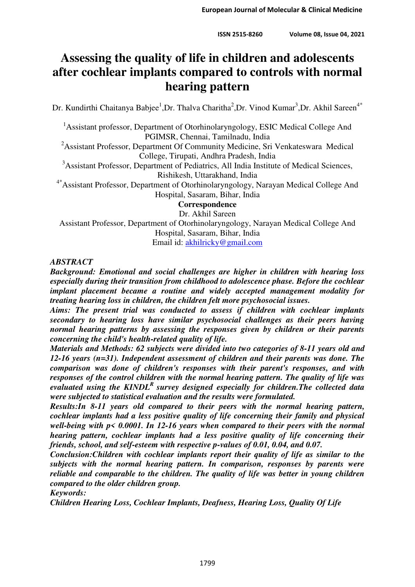# **Assessing the quality of life in children and adolescents after cochlear implants compared to controls with normal hearing pattern**

Dr. Kundirthi Chaitanya Babjee<sup>1</sup>, Dr. Thalva Charitha<sup>2</sup>, Dr. Vinod Kumar<sup>3</sup>, Dr. Akhil Sareen<sup>4\*</sup>

<sup>1</sup>Assistant professor, Department of Otorhinolaryngology, ESIC Medical College And PGIMSR, Chennai, Tamilnadu, India

<sup>2</sup>Assistant Professor, Department Of Community Medicine, Sri Venkateswara Medical College, Tirupati, Andhra Pradesh, India

<sup>3</sup>Assistant Professor, Department of Pediatrics, All India Institute of Medical Sciences, Rishikesh, Uttarakhand, India

4\*Assistant Professor, Department of Otorhinolaryngology, Narayan Medical College And Hospital, Sasaram, Bihar, India

**Correspondence** 

Dr. Akhil Sareen

Assistant Professor, Department of Otorhinolaryngology, Narayan Medical College And Hospital, Sasaram, Bihar, India

Email id: [akhilricky@gmail.com](mailto:akhilricky@gmail.com)

## *ABSTRACT*

*Background: Emotional and social challenges are higher in children with hearing loss especially during their transition from childhood to adolescence phase. Before the cochlear implant placement became a routine and widely accepted management modality for treating hearing loss in children, the children felt more psychosocial issues.* 

*Aims: The present trial was conducted to assess if children with cochlear implants secondary to hearing loss have similar psychosocial challenges as their peers having normal hearing patterns by assessing the responses given by children or their parents concerning the child's health-related quality of life.* 

*Materials and Methods: 62 subjects were divided into two categories of 8-11 years old and 12-16 years (n=31). Independent assessment of children and their parents was done. The comparison was done of children's responses with their parent's responses, and with responses of the control children with the normal hearing pattern. The quality of life was evaluated using the KINDL<sup>R</sup>survey designed especially for children.The collected data were subjected to statistical evaluation and the results were formulated.* 

*Results:In 8-11 years old compared to their peers with the normal hearing pattern, cochlear implants had a less positive quality of life concerning their family and physical well-being with p< 0.0001. In 12-16 years when compared to their peers with the normal hearing pattern, cochlear implants had a less positive quality of life concerning their friends, school, and self-esteem with respective p-values of 0.01, 0.04, and 0.07.* 

*Conclusion:Children with cochlear implants report their quality of life as similar to the subjects with the normal hearing pattern. In comparison, responses by parents were reliable and comparable to the children. The quality of life was better in young children compared to the older children group.* 

*Keywords:* 

*Children Hearing Loss, Cochlear Implants, Deafness, Hearing Loss, Quality Of Life*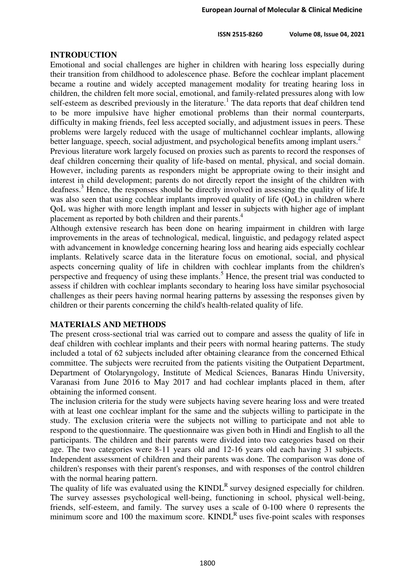**ISSN 2515-8260 Volume 08, Issue 04, 2021**

## **INTRODUCTION**

Emotional and social challenges are higher in children with hearing loss especially during their transition from childhood to adolescence phase. Before the cochlear implant placement became a routine and widely accepted management modality for treating hearing loss in children, the children felt more social, emotional, and family-related pressures along with low self-esteem as described previously in the literature.<sup>1</sup> The data reports that deaf children tend to be more impulsive have higher emotional problems than their normal counterparts, difficulty in making friends, feel less accepted socially, and adjustment issues in peers. These problems were largely reduced with the usage of multichannel cochlear implants, allowing better language, speech, social adjustment, and psychological benefits among implant users.<sup>2</sup> Previous literature work largely focused on proxies such as parents to record the responses of

deaf children concerning their quality of life-based on mental, physical, and social domain. However, including parents as responders might be appropriate owing to their insight and interest in child development; parents do not directly report the insight of the children with deafness.<sup>3</sup> Hence, the responses should be directly involved in assessing the quality of life.It was also seen that using cochlear implants improved quality of life (QoL) in children where QoL was higher with more length implant and lesser in subjects with higher age of implant placement as reported by both children and their parents.<sup>4</sup>

Although extensive research has been done on hearing impairment in children with large improvements in the areas of technological, medical, linguistic, and pedagogy related aspect with advancement in knowledge concerning hearing loss and hearing aids especially cochlear implants. Relatively scarce data in the literature focus on emotional, social, and physical aspects concerning quality of life in children with cochlear implants from the children's perspective and frequency of using these implants.<sup>5</sup> Hence, the present trial was conducted to assess if children with cochlear implants secondary to hearing loss have similar psychosocial challenges as their peers having normal hearing patterns by assessing the responses given by children or their parents concerning the child's health-related quality of life.

### **MATERIALS AND METHODS**

The present cross-sectional trial was carried out to compare and assess the quality of life in deaf children with cochlear implants and their peers with normal hearing patterns. The study included a total of 62 subjects included after obtaining clearance from the concerned Ethical committee. The subjects were recruited from the patients visiting the Outpatient Department, Department of Otolaryngology, Institute of Medical Sciences, Banaras Hindu University, Varanasi from June 2016 to May 2017 and had cochlear implants placed in them, after obtaining the informed consent.

The inclusion criteria for the study were subjects having severe hearing loss and were treated with at least one cochlear implant for the same and the subjects willing to participate in the study. The exclusion criteria were the subjects not willing to participate and not able to respond to the questionnaire. The questionnaire was given both in Hindi and English to all the participants. The children and their parents were divided into two categories based on their age. The two categories were 8-11 years old and 12-16 years old each having 31 subjects. Independent assessment of children and their parents was done. The comparison was done of children's responses with their parent's responses, and with responses of the control children with the normal hearing pattern.

The quality of life was evaluated using the  $KINDL<sup>R</sup>$  survey designed especially for children. The survey assesses psychological well-being, functioning in school, physical well-being, friends, self-esteem, and family. The survey uses a scale of 0-100 where 0 represents the minimum score and 100 the maximum score.  $KINDL<sup>R</sup>$  uses five-point scales with responses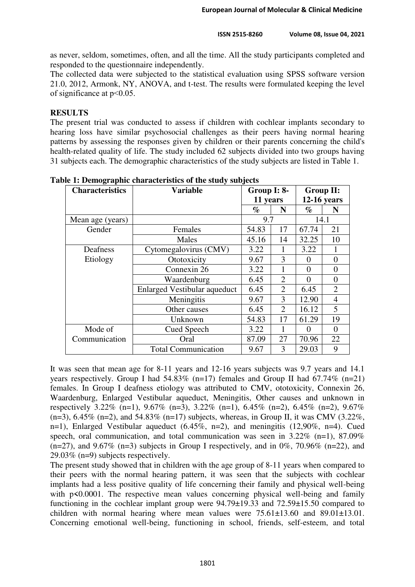as never, seldom, sometimes, often, and all the time. All the study participants completed and responded to the questionnaire independently.

The collected data were subjected to the statistical evaluation using SPSS software version 21.0, 2012, Armonk, NY, ANOVA, and t-test. The results were formulated keeping the level of significance at p˂0.05.

# **RESULTS**

The present trial was conducted to assess if children with cochlear implants secondary to hearing loss have similar psychosocial challenges as their peers having normal hearing patterns by assessing the responses given by children or their parents concerning the child's health-related quality of life. The study included 62 subjects divided into two groups having 31 subjects each. The demographic characteristics of the study subjects are listed in Table 1.

| <b>Characteristics</b> | <b>Variable</b>                     | Group I: 8- |                | Group II:     |                |
|------------------------|-------------------------------------|-------------|----------------|---------------|----------------|
|                        |                                     | 11 years    |                | $12-16$ years |                |
|                        |                                     | $\%$        | N              | $\%$          | N              |
| Mean age (years)       |                                     | 9.7         |                | 14.1          |                |
| Gender                 | Females                             | 54.83       | 17             | 67.74         | 21             |
|                        | Males                               | 45.16       | 14             | 32.25         | 10             |
| Deafness               | Cytomegalovirus (CMV)               | 3.22        | 1              | 3.22          | 1              |
| Etiology               | Ototoxicity                         | 9.67        | 3              | 0             | $\theta$       |
|                        | Connexin 26                         | 3.22        | 1              | $\Omega$      | 0              |
|                        | Waardenburg                         | 6.45        | $\overline{2}$ | $\Omega$      | 0              |
|                        | <b>Enlarged Vestibular aqueduct</b> | 6.45        | 2              | 6.45          | $\overline{2}$ |
|                        | Meningitis                          | 9.67        | 3              | 12.90         | 4              |
|                        | Other causes                        | 6.45        | $\overline{2}$ | 16.12         | 5              |
|                        | Unknown                             | 54.83       | 17             | 61.29         | 19             |
| Mode of                | Cued Speech                         | 3.22        |                | 0             | $\Omega$       |
| Communication          | Oral                                |             | 27             | 70.96         | 22             |
|                        | <b>Total Communication</b>          | 9.67        | 3              | 29.03         | 9              |

**Table 1: Demographic characteristics of the study subjects** 

It was seen that mean age for 8-11 years and 12-16 years subjects was 9.7 years and 14.1 years respectively. Group I had  $54.83\%$  (n=17) females and Group II had  $67.74\%$  (n=21) females. In Group I deafness etiology was attributed to CMV, ototoxicity, Connexin 26, Waardenburg, Enlarged Vestibular aqueduct, Meningitis, Other causes and unknown in respectively 3.22% (n=1), 9.67% (n=3), 3.22% (n=1), 6.45% (n=2), 6.45% (n=2), 9.67%  $(n=3)$ , 6.45%  $(n=2)$ , and 54.83%  $(n=17)$  subjects, whereas, in Group II, it was CMV (3.22%, n=1), Enlarged Vestibular aqueduct (6.45%, n=2), and meningitis (12,90%, n=4). Cued speech, oral communication, and total communication was seen in 3.22% (n=1), 87.09%  $(n=27)$ , and 9.67%  $(n=3)$  subjects in Group I respectively, and in 0%, 70.96%  $(n=22)$ , and 29.03% (n=9) subjects respectively.

The present study showed that in children with the age group of 8-11 years when compared to their peers with the normal hearing pattern, it was seen that the subjects with cochlear implants had a less positive quality of life concerning their family and physical well-being with p<0.0001. The respective mean values concerning physical well-being and family functioning in the cochlear implant group were 94.79±19.33 and 72.59±15.50 compared to children with normal hearing where mean values were  $75.61\pm13.60$  and  $89.01\pm13.01$ . Concerning emotional well-being, functioning in school, friends, self-esteem, and total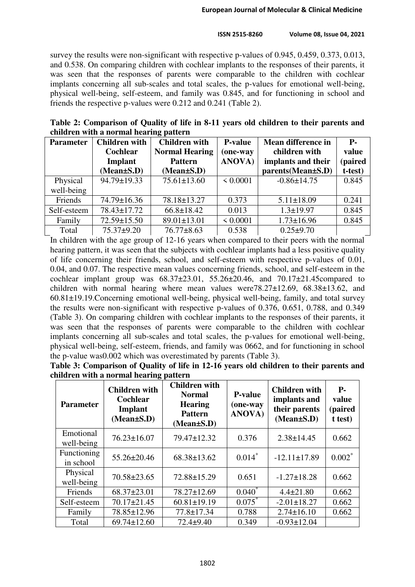#### **ISSN 2515-8260 Volume 08, Issue 04, 2021**

survey the results were non-significant with respective p-values of 0.945, 0.459, 0.373, 0.013, and 0.538. On comparing children with cochlear implants to the responses of their parents, it was seen that the responses of parents were comparable to the children with cochlear implants concerning all sub-scales and total scales, the p-values for emotional well-being, physical well-being, self-esteem, and family was 0.845, and for functioning in school and friends the respective p-values were 0.212 and 0.241 (Table 2).

**Table 2: Comparison of Quality of life in 8-11 years old children to their parents and children with a normal hearing pattern** 

| <b>Parameter</b> | <b>Children with</b> | <b>Children</b> with  | <b>P-value</b> | <b>Mean difference in</b> | <b>P.</b> |
|------------------|----------------------|-----------------------|----------------|---------------------------|-----------|
|                  | Cochlear             | <b>Normal Hearing</b> | (one-way       | children with             | value     |
|                  | Implant              | <b>Pattern</b>        | <b>ANOVA</b> ) | implants and their        | (paired   |
|                  | $(Mean \pm S.D)$     | $(Mean \pm S.D)$      |                | parents(Mean±S.D)         | t-test)   |
| Physical         | 94.79±19.33          | $75.61 \pm 13.60$     | ${}< 0.0001$   | $-0.86 \pm 14.75$         | 0.845     |
| well-being       |                      |                       |                |                           |           |
| Friends          | 74.79±16.36          | 78.18±13.27           | 0.373          | $5.11 \pm 18.09$          | 0.241     |
| Self-esteem      | 78.43±17.72          | $66.8 \pm 18.42$      | 0.013          | $1.3 \pm 19.97$           | 0.845     |
| Family           | 72.59±15.50          | 89.01±13.01           | ${}< 0.0001$   | $1.73 \pm 16.96$          | 0.845     |
| Total            | $75.37+9.20$         | $76.77 \pm 8.63$      | 0.538          | $0.25 \pm 9.70$           |           |

In children with the age group of 12-16 years when compared to their peers with the normal hearing pattern, it was seen that the subjects with cochlear implants had a less positive quality of life concerning their friends, school, and self-esteem with respective p-values of 0.01, 0.04, and 0.07. The respective mean values concerning friends, school, and self-esteem in the cochlear implant group was  $68.37\pm23.01$ ,  $55.26\pm20.46$ , and  $70.17\pm21.45$ compared to children with normal hearing where mean values were  $78.27 \pm 12.69$ ,  $68.38 \pm 13.62$ , and 60.81±19.19.Concerning emotional well-being, physical well-being, family, and total survey the results were non-significant with respective p-values of 0.376, 0.651, 0.788, and 0.349 (Table 3). On comparing children with cochlear implants to the responses of their parents, it was seen that the responses of parents were comparable to the children with cochlear implants concerning all sub-scales and total scales, the p-values for emotional well-being, physical well-being, self-esteem, friends, and family was 0662, and for functioning in school the p-value was0.002 which was overestimated by parents (Table 3).

| Table 3: Comparison of Quality of life in 12-16 years old children to their parents and |  |
|-----------------------------------------------------------------------------------------|--|
| children with a normal hearing pattern                                                  |  |

| <b>Parameter</b>         | <b>Children with</b><br><b>Cochlear</b><br>Implant<br>$(Mean \pm S.D)$ | <b>Children with</b><br><b>Normal</b><br><b>Hearing</b><br><b>Pattern</b><br>$(Mean \pm S.D)$ | <b>P-value</b><br>(one-way<br>ANOVA) | <b>Children with</b><br>implants and<br>their parents<br>$(Mean \pm S.D)$ | <b>P</b> -<br>value<br>(paired<br>t test) |
|--------------------------|------------------------------------------------------------------------|-----------------------------------------------------------------------------------------------|--------------------------------------|---------------------------------------------------------------------------|-------------------------------------------|
| Emotional<br>well-being  | $76.23 \pm 16.07$                                                      | $79.47 \pm 12.32$                                                                             | 0.376                                | $2.38 \pm 14.45$                                                          | 0.662                                     |
| Functioning<br>in school | $55.26 \pm 20.46$                                                      | $68.38 \pm 13.62$                                                                             | $0.014*$                             | $-12.11 \pm 17.89$                                                        | $0.002*$                                  |
| Physical<br>well-being   | $70.58 \pm 23.65$                                                      | 72.88±15.29                                                                                   | 0.651                                | $-1.27 \pm 18.28$                                                         | 0.662                                     |
| Friends                  | $68.37 \pm 23.01$                                                      | $78.27 \pm 12.69$                                                                             | $0.040^*$                            | $4.4 \pm 21.80$                                                           | 0.662                                     |
| Self-esteem              | $70.17 \pm 21.45$                                                      | $60.81 \pm 19.19$                                                                             | $0.075^*$                            | $-2.01 \pm 18.27$                                                         | 0.662                                     |
| Family                   | 78.85±12.96                                                            | 77.8±17.34                                                                                    | 0.788                                | $2.74 \pm 16.10$                                                          | 0.662                                     |
| Total                    | $69.74 \pm 12.60$                                                      | $72.4 \pm 9.40$                                                                               | 0.349                                | $-0.93 \pm 12.04$                                                         |                                           |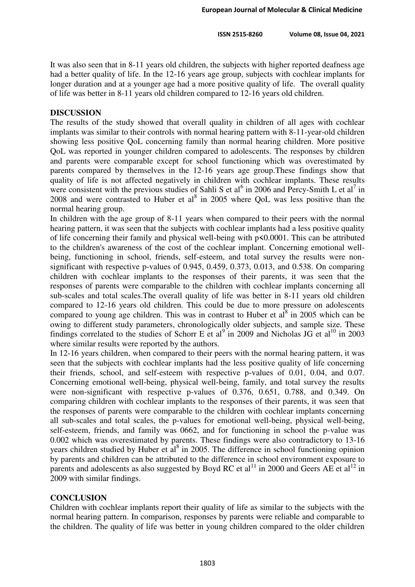It was also seen that in 8-11 years old children, the subjects with higher reported deafness age had a better quality of life. In the 12-16 years age group, subjects with cochlear implants for longer duration and at a younger age had a more positive quality of life. The overall quality of life was better in 8-11 years old children compared to 12-16 years old children.

# **DISCUSSION**

The results of the study showed that overall quality in children of all ages with cochlear implants was similar to their controls with normal hearing pattern with 8-11-year-old children showing less positive QoL concerning family than normal hearing children. More positive QoL was reported in younger children compared to adolescents. The responses by children and parents were comparable except for school functioning which was overestimated by parents compared by themselves in the 12-16 years age group.These findings show that quality of life is not affected negatively in children with cochlear implants. These results were consistent with the previous studies of Sahli S et al<sup>6</sup> in 2006 and Percy-Smith L et al<sup>7</sup> in 2008 and were contrasted to Huber et al<sup>8</sup> in 2005 where QoL was less positive than the normal hearing group.

In children with the age group of 8-11 years when compared to their peers with the normal hearing pattern, it was seen that the subjects with cochlear implants had a less positive quality of life concerning their family and physical well-being with p**<**0.0001. This can be attributed to the children's awareness of the cost of the cochlear implant. Concerning emotional wellbeing, functioning in school, friends, self-esteem, and total survey the results were nonsignificant with respective p-values of 0.945, 0.459, 0.373, 0.013, and 0.538. On comparing children with cochlear implants to the responses of their parents, it was seen that the responses of parents were comparable to the children with cochlear implants concerning all sub-scales and total scales.The overall quality of life was better in 8-11 years old children compared to 12-16 years old children. This could be due to more pressure on adolescents compared to young age children. This was in contrast to Huber et  $al^8$  in 2005 which can be owing to different study parameters, chronologically older subjects, and sample size. These findings correlated to the studies of Schorr E et al<sup>9</sup> in 2009 and Nicholas JG et al<sup>10</sup> in 2003 where similar results were reported by the authors.

In 12-16 years children, when compared to their peers with the normal hearing pattern, it was seen that the subjects with cochlear implants had the less positive quality of life concerning their friends, school, and self-esteem with respective p-values of 0.01, 0.04, and 0.07. Concerning emotional well-being, physical well-being, family, and total survey the results were non-significant with respective p-values of 0.376, 0.651, 0.788, and 0.349. On comparing children with cochlear implants to the responses of their parents, it was seen that the responses of parents were comparable to the children with cochlear implants concerning all sub-scales and total scales, the p-values for emotional well-being, physical well-being, self-esteem, friends, and family was 0662, and for functioning in school the p-value was 0.002 which was overestimated by parents. These findings were also contradictory to 13-16 years children studied by Huber et  $al^8$  in 2005. The difference in school functioning opinion by parents and children can be attributed to the difference in school environment exposure to parents and adolescents as also suggested by Boyd RC et al<sup>11</sup> in 2000 and Geers AE et al<sup>12</sup> in 2009 with similar findings.

# **CONCLUSION**

Children with cochlear implants report their quality of life as similar to the subjects with the normal hearing pattern. In comparison, responses by parents were reliable and comparable to the children. The quality of life was better in young children compared to the older children